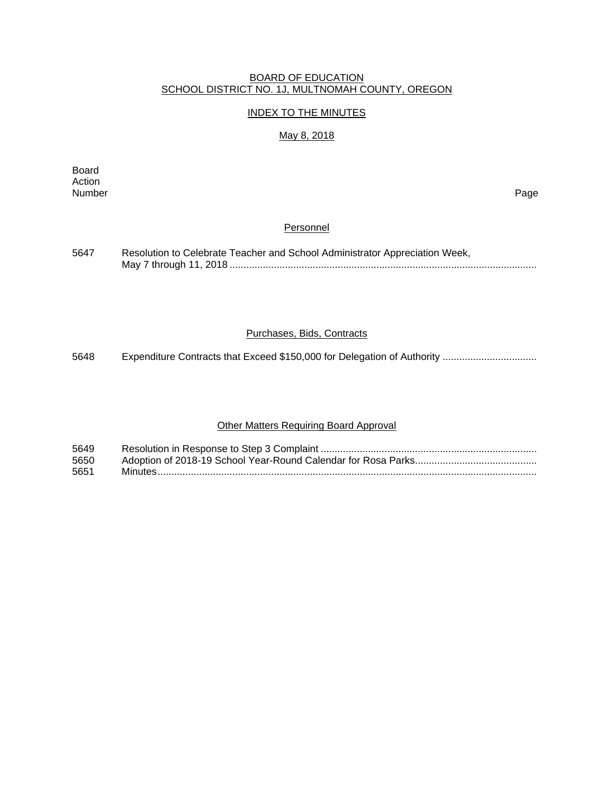#### BOARD OF EDUCATION SCHOOL DISTRICT NO. 1J, MULTNOMAH COUNTY, OREGON

## INDEX TO THE MINUTES

#### May 8, 2018

Board Action Number Page

## **Personnel**

| 5647 | Resolution to Celebrate Teacher and School Administrator Appreciation Week, |
|------|-----------------------------------------------------------------------------|
|      |                                                                             |

#### Purchases, Bids, Contracts

5648 Expenditure Contracts that Exceed \$150,000 for Delegation of Authority .................................

# Other Matters Requiring Board Approval

| 5649 |  |
|------|--|
| 5650 |  |
| 5651 |  |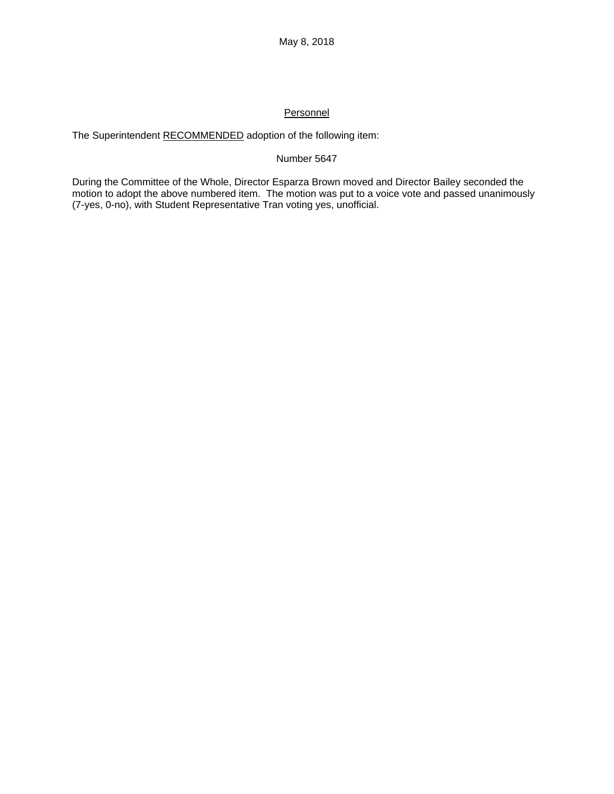## **Personnel**

The Superintendent RECOMMENDED adoption of the following item:

## Number 5647

During the Committee of the Whole, Director Esparza Brown moved and Director Bailey seconded the motion to adopt the above numbered item. The motion was put to a voice vote and passed unanimously (7-yes, 0-no), with Student Representative Tran voting yes, unofficial.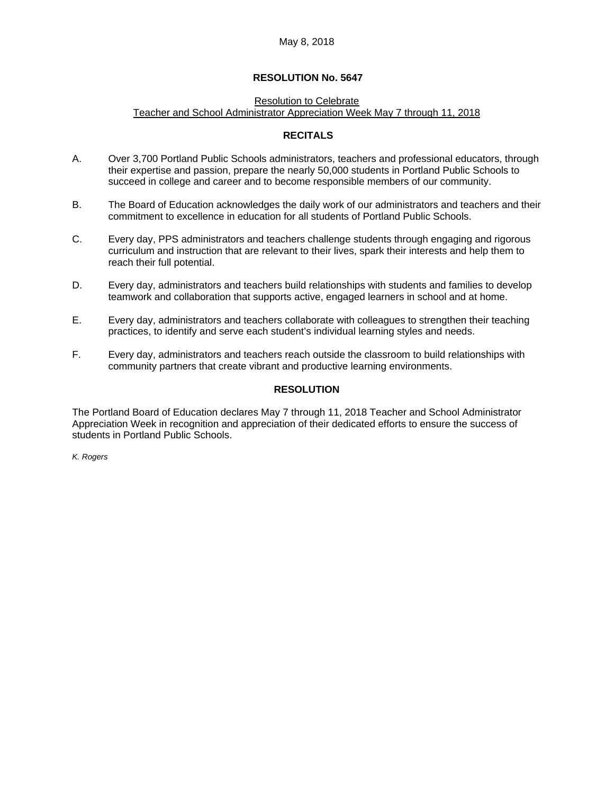#### May 8, 2018

#### **RESOLUTION No. 5647**

#### Resolution to Celebrate Teacher and School Administrator Appreciation Week May 7 through 11, 2018

#### **RECITALS**

- A. Over 3,700 Portland Public Schools administrators, teachers and professional educators, through their expertise and passion, prepare the nearly 50,000 students in Portland Public Schools to succeed in college and career and to become responsible members of our community.
- B. The Board of Education acknowledges the daily work of our administrators and teachers and their commitment to excellence in education for all students of Portland Public Schools.
- C. Every day, PPS administrators and teachers challenge students through engaging and rigorous curriculum and instruction that are relevant to their lives, spark their interests and help them to reach their full potential.
- D. Every day, administrators and teachers build relationships with students and families to develop teamwork and collaboration that supports active, engaged learners in school and at home.
- E. Every day, administrators and teachers collaborate with colleagues to strengthen their teaching practices, to identify and serve each student's individual learning styles and needs.
- F. Every day, administrators and teachers reach outside the classroom to build relationships with community partners that create vibrant and productive learning environments.

## **RESOLUTION**

The Portland Board of Education declares May 7 through 11, 2018 Teacher and School Administrator Appreciation Week in recognition and appreciation of their dedicated efforts to ensure the success of students in Portland Public Schools.

*K. Rogers*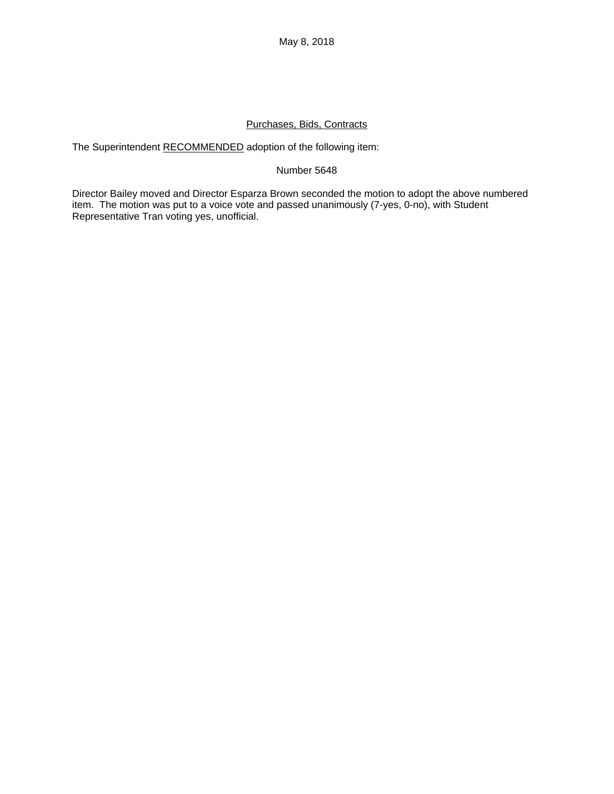## Purchases, Bids, Contracts

The Superintendent RECOMMENDED adoption of the following item:

## Number 5648

Director Bailey moved and Director Esparza Brown seconded the motion to adopt the above numbered item. The motion was put to a voice vote and passed unanimously (7-yes, 0-no), with Student Representative Tran voting yes, unofficial.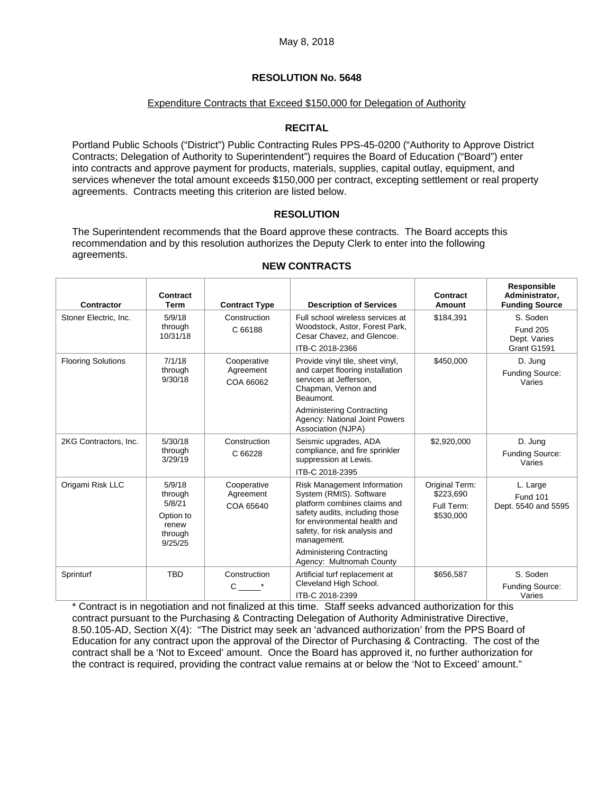## **RESOLUTION No. 5648**

#### Expenditure Contracts that Exceed \$150,000 for Delegation of Authority

## **RECITAL**

Portland Public Schools ("District") Public Contracting Rules PPS-45-0200 ("Authority to Approve District Contracts; Delegation of Authority to Superintendent") requires the Board of Education ("Board") enter into contracts and approve payment for products, materials, supplies, capital outlay, equipment, and services whenever the total amount exceeds \$150,000 per contract, excepting settlement or real property agreements. Contracts meeting this criterion are listed below.

## **RESOLUTION**

The Superintendent recommends that the Board approve these contracts. The Board accepts this recommendation and by this resolution authorizes the Deputy Clerk to enter into the following agreements.

| <b>Contractor</b>         | Contract<br>Term                                                        | <b>Contract Type</b>                  | <b>Description of Services</b>                                                                                                                                                                                                                                           | Contract<br>Amount                                     | Responsible<br>Administrator,<br><b>Funding Source</b> |
|---------------------------|-------------------------------------------------------------------------|---------------------------------------|--------------------------------------------------------------------------------------------------------------------------------------------------------------------------------------------------------------------------------------------------------------------------|--------------------------------------------------------|--------------------------------------------------------|
| Stoner Electric, Inc.     | 5/9/18<br>through<br>10/31/18                                           | Construction                          | Full school wireless services at<br>Woodstock, Astor, Forest Park,<br>Cesar Chavez, and Glencoe.<br>ITB-C 2018-2366                                                                                                                                                      | \$184,391                                              | S. Soden                                               |
|                           |                                                                         | C 66188                               |                                                                                                                                                                                                                                                                          |                                                        | <b>Fund 205</b><br>Dept. Varies<br>Grant G1591         |
| <b>Flooring Solutions</b> | 7/1/18<br>through<br>9/30/18                                            | Cooperative<br>Agreement<br>COA 66062 | Provide vinyl tile, sheet vinyl,<br>and carpet flooring installation<br>services at Jefferson,<br>Chapman, Vernon and<br>Beaumont.                                                                                                                                       | \$450,000                                              | D. Jung<br><b>Funding Source:</b><br>Varies            |
|                           |                                                                         |                                       | <b>Administering Contracting</b><br>Agency: National Joint Powers<br>Association (NJPA)                                                                                                                                                                                  |                                                        |                                                        |
| 2KG Contractors, Inc.     | 5/30/18<br>through<br>3/29/19                                           | Construction<br>C 66228               | Seismic upgrades, ADA<br>compliance, and fire sprinkler<br>suppression at Lewis.<br>ITB-C 2018-2395                                                                                                                                                                      | \$2,920,000                                            | D. Jung<br><b>Funding Source:</b><br>Varies            |
| Origami Risk LLC          | 5/9/18<br>through<br>5/8/21<br>Option to<br>renew<br>through<br>9/25/25 | Cooperative<br>Agreement<br>COA 65640 | Risk Management Information<br>System (RMIS). Software<br>platform combines claims and<br>safety audits, including those<br>for environmental health and<br>safety, for risk analysis and<br>management.<br><b>Administering Contracting</b><br>Agency: Multnomah County | Original Term:<br>\$223,690<br>Full Term:<br>\$530,000 | L. Large<br><b>Fund 101</b><br>Dept. 5540 and 5595     |
| Sprinturf                 | <b>TBD</b>                                                              | Construction<br>C                     | Artificial turf replacement at<br>Cleveland High School.<br>ITB-C 2018-2399                                                                                                                                                                                              | \$656,587                                              | S. Soden<br><b>Funding Source:</b><br>Varies           |

#### **NEW CONTRACTS**

\* Contract is in negotiation and not finalized at this time. Staff seeks advanced authorization for this contract pursuant to the Purchasing & Contracting Delegation of Authority Administrative Directive, 8.50.105-AD, Section X(4): "The District may seek an 'advanced authorization' from the PPS Board of Education for any contract upon the approval of the Director of Purchasing & Contracting. The cost of the contract shall be a 'Not to Exceed' amount. Once the Board has approved it, no further authorization for the contract is required, providing the contract value remains at or below the 'Not to Exceed' amount."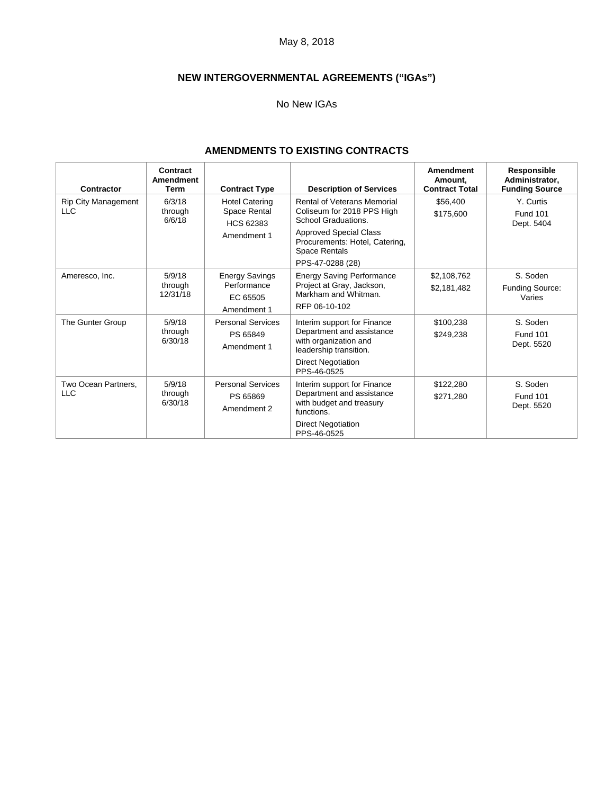May 8, 2018

# **NEW INTERGOVERNMENTAL AGREEMENTS ("IGAs")**

## No New IGAs

## **AMENDMENTS TO EXISTING CONTRACTS**

| Contractor                               | Contract<br><b>Amendment</b><br>Term | <b>Contract Type</b>                                                     | <b>Description of Services</b>                                                                                                                                                                  | Amendment<br>Amount.<br><b>Contract Total</b> | Responsible<br>Administrator,<br><b>Funding Source</b> |
|------------------------------------------|--------------------------------------|--------------------------------------------------------------------------|-------------------------------------------------------------------------------------------------------------------------------------------------------------------------------------------------|-----------------------------------------------|--------------------------------------------------------|
| <b>Rip City Management</b><br><b>LLC</b> | 6/3/18<br>through<br>6/6/18          | <b>Hotel Catering</b><br>Space Rental<br><b>HCS 62383</b><br>Amendment 1 | <b>Rental of Veterans Memorial</b><br>Coliseum for 2018 PPS High<br>School Graduations.<br><b>Approved Special Class</b><br>Procurements: Hotel, Catering,<br>Space Rentals<br>PPS-47-0288 (28) | \$56,400<br>\$175,600                         | Y. Curtis<br><b>Fund 101</b><br>Dept. 5404             |
| Ameresco, Inc.                           | 5/9/18<br>through<br>12/31/18        | <b>Energy Savings</b><br>Performance<br>EC 65505<br>Amendment 1          | <b>Energy Saving Performance</b><br>Project at Gray, Jackson,<br>Markham and Whitman.<br>RFP 06-10-102                                                                                          | \$2,108,762<br>\$2,181,482                    | S. Soden<br>Funding Source:<br>Varies                  |
| The Gunter Group                         | 5/9/18<br>through<br>6/30/18         | <b>Personal Services</b><br>PS 65849<br>Amendment 1                      | Interim support for Finance<br>Department and assistance<br>with organization and<br>leadership transition.<br><b>Direct Negotiation</b><br>PPS-46-0525                                         | \$100,238<br>\$249,238                        | S. Soden<br><b>Fund 101</b><br>Dept. 5520              |
| Two Ocean Partners,<br><b>LLC</b>        | 5/9/18<br>through<br>6/30/18         | <b>Personal Services</b><br>PS 65869<br>Amendment 2                      | Interim support for Finance<br>Department and assistance<br>with budget and treasury<br>functions.<br><b>Direct Negotiation</b><br>PPS-46-0525                                                  | \$122,280<br>\$271,280                        | S. Soden<br><b>Fund 101</b><br>Dept. 5520              |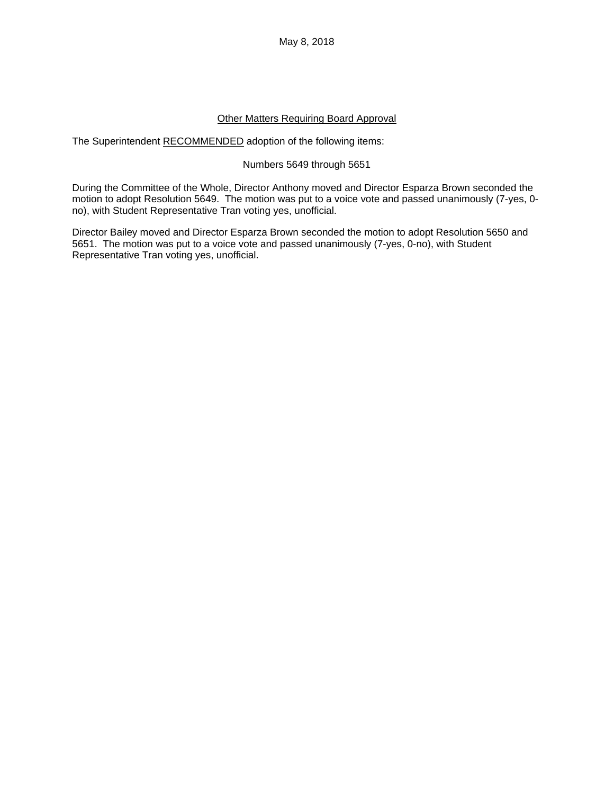May 8, 2018

## Other Matters Requiring Board Approval

The Superintendent RECOMMENDED adoption of the following items:

## Numbers 5649 through 5651

During the Committee of the Whole, Director Anthony moved and Director Esparza Brown seconded the motion to adopt Resolution 5649. The motion was put to a voice vote and passed unanimously (7-yes, 0 no), with Student Representative Tran voting yes, unofficial.

Director Bailey moved and Director Esparza Brown seconded the motion to adopt Resolution 5650 and 5651. The motion was put to a voice vote and passed unanimously (7-yes, 0-no), with Student Representative Tran voting yes, unofficial.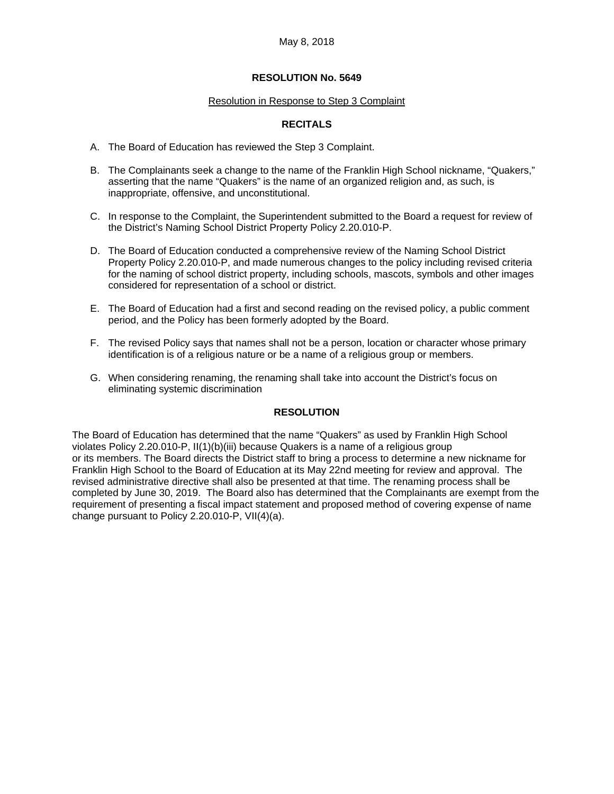## **RESOLUTION No. 5649**

#### Resolution in Response to Step 3 Complaint

## **RECITALS**

- A. The Board of Education has reviewed the Step 3 Complaint.
- B. The Complainants seek a change to the name of the Franklin High School nickname, "Quakers," asserting that the name "Quakers" is the name of an organized religion and, as such, is inappropriate, offensive, and unconstitutional.
- C. In response to the Complaint, the Superintendent submitted to the Board a request for review of the District's Naming School District Property Policy 2.20.010-P.
- D. The Board of Education conducted a comprehensive review of the Naming School District Property Policy 2.20.010-P, and made numerous changes to the policy including revised criteria for the naming of school district property, including schools, mascots, symbols and other images considered for representation of a school or district.
- E. The Board of Education had a first and second reading on the revised policy, a public comment period, and the Policy has been formerly adopted by the Board.
- F. The revised Policy says that names shall not be a person, location or character whose primary identification is of a religious nature or be a name of a religious group or members.
- G. When considering renaming, the renaming shall take into account the District's focus on eliminating systemic discrimination

#### **RESOLUTION**

The Board of Education has determined that the name "Quakers" as used by Franklin High School violates Policy 2.20.010-P, II(1)(b)(iii) because Quakers is a name of a religious group or its members. The Board directs the District staff to bring a process to determine a new nickname for Franklin High School to the Board of Education at its May 22nd meeting for review and approval. The revised administrative directive shall also be presented at that time. The renaming process shall be completed by June 30, 2019. The Board also has determined that the Complainants are exempt from the requirement of presenting a fiscal impact statement and proposed method of covering expense of name change pursuant to Policy 2.20.010-P, VII(4)(a).